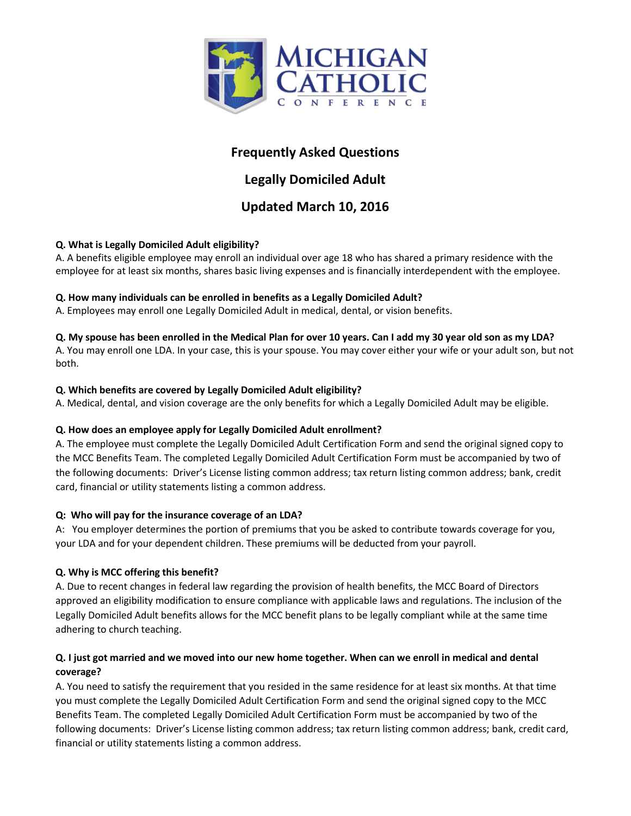

## **Frequently Asked Questions**

# **Legally Domiciled Adult**

## **Updated March 10, 2016**

#### **Q. What is Legally Domiciled Adult eligibility?**

A. A benefits eligible employee may enroll an individual over age 18 who has shared a primary residence with the employee for at least six months, shares basic living expenses and is financially interdependent with the employee.

#### **Q. How many individuals can be enrolled in benefits as a Legally Domiciled Adult?**

A. Employees may enroll one Legally Domiciled Adult in medical, dental, or vision benefits.

#### **Q. My spouse has been enrolled in the Medical Plan for over 10 years. Can I add my 30 year old son as my LDA?**

A. You may enroll one LDA. In your case, this is your spouse. You may cover either your wife or your adult son, but not both.

#### **Q. Which benefits are covered by Legally Domiciled Adult eligibility?**

A. Medical, dental, and vision coverage are the only benefits for which a Legally Domiciled Adult may be eligible.

#### **Q. How does an employee apply for Legally Domiciled Adult enrollment?**

A. The employee must complete the Legally Domiciled Adult Certification Form and send the original signed copy to the MCC Benefits Team. The completed Legally Domiciled Adult Certification Form must be accompanied by two of the following documents: Driver's License listing common address; tax return listing common address; bank, credit card, financial or utility statements listing a common address.

#### **Q: Who will pay for the insurance coverage of an LDA?**

A: You employer determines the portion of premiums that you be asked to contribute towards coverage for you, your LDA and for your dependent children. These premiums will be deducted from your payroll.

#### **Q. Why is MCC offering this benefit?**

A. Due to recent changes in federal law regarding the provision of health benefits, the MCC Board of Directors approved an eligibility modification to ensure compliance with applicable laws and regulations. The inclusion of the Legally Domiciled Adult benefits allows for the MCC benefit plans to be legally compliant while at the same time adhering to church teaching.

#### **Q. I just got married and we moved into our new home together. When can we enroll in medical and dental coverage?**

A. You need to satisfy the requirement that you resided in the same residence for at least six months. At that time you must complete the Legally Domiciled Adult Certification Form and send the original signed copy to the MCC Benefits Team. The completed Legally Domiciled Adult Certification Form must be accompanied by two of the following documents: Driver's License listing common address; tax return listing common address; bank, credit card, financial or utility statements listing a common address.